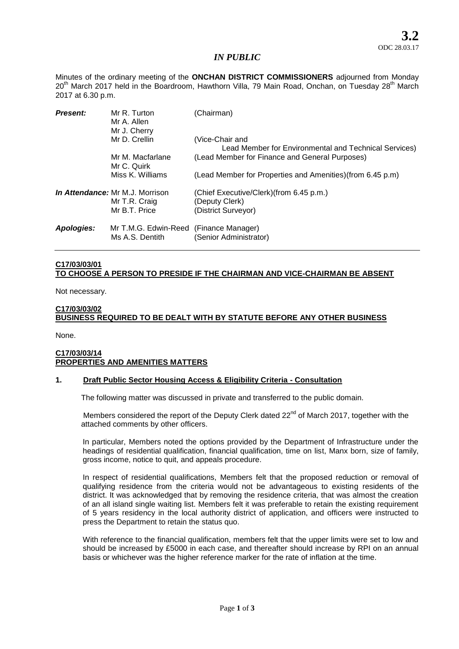# *IN PUBLIC*

Minutes of the ordinary meeting of the **ONCHAN DISTRICT COMMISSIONERS** adjourned from Monday 20<sup>th</sup> March 2017 held in the Boardroom, Hawthorn Villa, 79 Main Road, Onchan, on Tuesday 28<sup>th</sup> March 2017 at 6.30 p.m.

| <b>Present:</b> | Mr R. Turton<br>Mr A. Allen<br>Mr J. Cherry                              | (Chairman)                                                                        |
|-----------------|--------------------------------------------------------------------------|-----------------------------------------------------------------------------------|
|                 | Mr D. Crellin                                                            | (Vice-Chair and<br>Lead Member for Environmental and Technical Services)          |
|                 | Mr M. Macfarlane<br>Mr C. Quirk                                          | (Lead Member for Finance and General Purposes)                                    |
|                 | Miss K. Williams                                                         | (Lead Member for Properties and Amenities) (from 6.45 p.m)                        |
|                 | <b>In Attendance: Mr M.J. Morrison</b><br>Mr T.R. Craig<br>Mr B.T. Price | (Chief Executive/Clerk) (from 6.45 p.m.)<br>(Deputy Clerk)<br>(District Surveyor) |
| Apologies:      | Mr T.M.G. Edwin-Reed<br>Ms A.S. Dentith                                  | (Finance Manager)<br>(Senior Administrator)                                       |

### **C17/03/03/01 TO CHOOSE A PERSON TO PRESIDE IF THE CHAIRMAN AND VICE-CHAIRMAN BE ABSENT**

Not necessary.

#### **C17/03/03/02 BUSINESS REQUIRED TO BE DEALT WITH BY STATUTE BEFORE ANY OTHER BUSINESS**

None.

## **C17/03/03/14 PROPERTIES AND AMENITIES MATTERS**

## **1. Draft Public Sector Housing Access & Eligibility Criteria - Consultation**

The following matter was discussed in private and transferred to the public domain.

Members considered the report of the Deputy Clerk dated 22<sup>nd</sup> of March 2017, together with the attached comments by other officers.

In particular, Members noted the options provided by the Department of Infrastructure under the headings of residential qualification, financial qualification, time on list, Manx born, size of family, gross income, notice to quit, and appeals procedure.

In respect of residential qualifications, Members felt that the proposed reduction or removal of qualifying residence from the criteria would not be advantageous to existing residents of the district. It was acknowledged that by removing the residence criteria, that was almost the creation of an all island single waiting list. Members felt it was preferable to retain the existing requirement of 5 years residency in the local authority district of application, and officers were instructed to press the Department to retain the status quo.

With reference to the financial qualification, members felt that the upper limits were set to low and should be increased by £5000 in each case, and thereafter should increase by RPI on an annual basis or whichever was the higher reference marker for the rate of inflation at the time.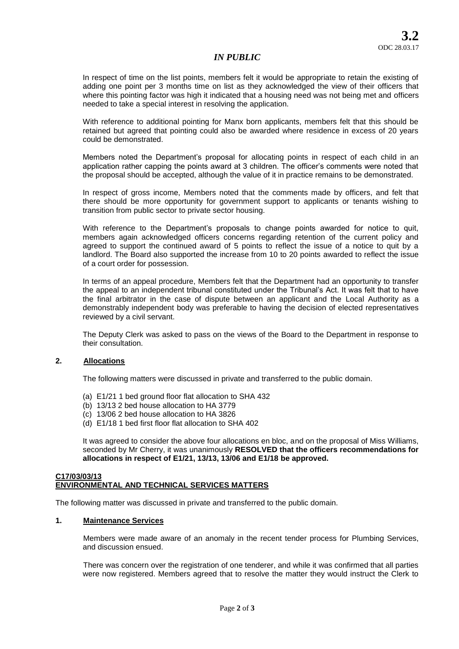# *IN PUBLIC*

In respect of time on the list points, members felt it would be appropriate to retain the existing of adding one point per 3 months time on list as they acknowledged the view of their officers that where this pointing factor was high it indicated that a housing need was not being met and officers needed to take a special interest in resolving the application.

With reference to additional pointing for Manx born applicants, members felt that this should be retained but agreed that pointing could also be awarded where residence in excess of 20 years could be demonstrated.

Members noted the Department's proposal for allocating points in respect of each child in an application rather capping the points award at 3 children. The officer's comments were noted that the proposal should be accepted, although the value of it in practice remains to be demonstrated.

In respect of gross income, Members noted that the comments made by officers, and felt that there should be more opportunity for government support to applicants or tenants wishing to transition from public sector to private sector housing.

With reference to the Department's proposals to change points awarded for notice to quit, members again acknowledged officers concerns regarding retention of the current policy and agreed to support the continued award of 5 points to reflect the issue of a notice to quit by a landlord. The Board also supported the increase from 10 to 20 points awarded to reflect the issue of a court order for possession.

In terms of an appeal procedure, Members felt that the Department had an opportunity to transfer the appeal to an independent tribunal constituted under the Tribunal's Act. It was felt that to have the final arbitrator in the case of dispute between an applicant and the Local Authority as a demonstrably independent body was preferable to having the decision of elected representatives reviewed by a civil servant.

The Deputy Clerk was asked to pass on the views of the Board to the Department in response to their consultation.

### **2. Allocations**

The following matters were discussed in private and transferred to the public domain.

- (a) E1/21 1 bed ground floor flat allocation to SHA 432
- (b) 13/13 2 bed house allocation to HA 3779
- (c) 13/06 2 bed house allocation to HA 3826
- (d) E1/18 1 bed first floor flat allocation to SHA 402

It was agreed to consider the above four allocations en bloc, and on the proposal of Miss Williams, seconded by Mr Cherry, it was unanimously **RESOLVED that the officers recommendations for allocations in respect of E1/21, 13/13, 13/06 and E1/18 be approved.**

#### **C17/03/03/13 ENVIRONMENTAL AND TECHNICAL SERVICES MATTERS**

The following matter was discussed in private and transferred to the public domain.

### **1. Maintenance Services**

Members were made aware of an anomaly in the recent tender process for Plumbing Services, and discussion ensued.

There was concern over the registration of one tenderer, and while it was confirmed that all parties were now registered. Members agreed that to resolve the matter they would instruct the Clerk to